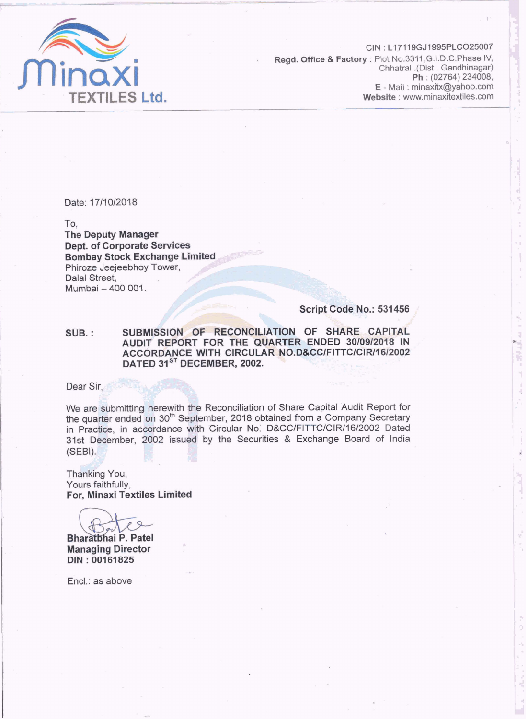

CIN : L17119GJ1995PLC025007 **Regd. Office & Factory** : Plot No.3311, G.I.D.C. Phase IV, **Chhatral .(Dist** . **Gandhinagar) Ph** ; (02764) 234008, E - Mail : minaxitx@yahoo.com<br>Website : www.minaxitextiles.com

Date: 17/10/2018

To. The **Deputy Manager Dept. of Corporate Services Bombay Stock Exchange Limited** Phiroze Jeejeebhoy Tower, Dalal Street, Murnbai - 400 001.

**Script Code No.: 531456** 

**SUB.** : SUBMISSION OF RECONCILIATION OF SHARE CAPITAL **AUDIT REPORT FOR THE QUARTER ENDED 3010912018 IN**  ACCORDANCE WITH CIRCULAR NO.D&CC/FITTC/CIR/16/2002 **DATED 31<sup>ST</sup> DECEMBER, 2002.** 

Dear Sir,

We are submitting herewith the Reconciliation of Share Capital Audit Report for the quarter ended on 30<sup>th</sup> September, 2018 obtained from a Company Secretary in Practice, in accordance with Circular **No:** D&CClFITTC/CIR/16/2002 Dated 31st December, 2002 issued by the Securities & Exchange Board of India **[SEBI). <sup>P</sup>BIF 91** 

**~hhngj** You, Yours faithfully, For, Minaxi Textiles **Limited** 

**Bharatbhai P. Patel Managing Director DIN** : **001 61 825** 

Encl.: as above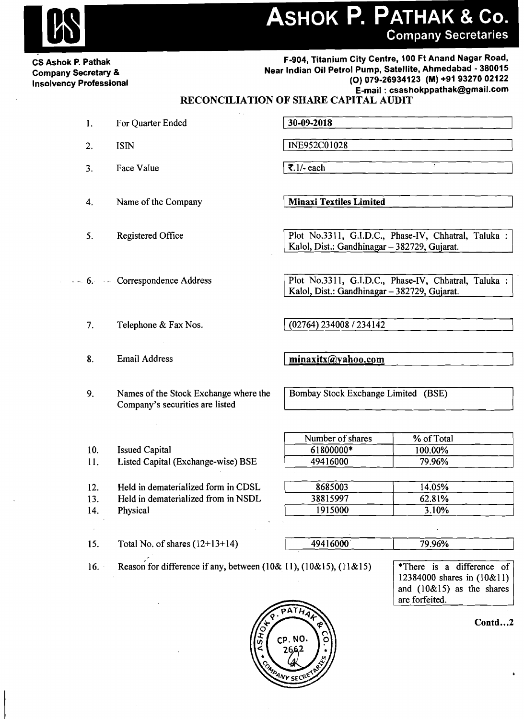- --<br>- --<br>- --**CS Ashok P. Pathak Company Secretary & Insolvency Professional** 

**F-904, Titanium City Centre, 100 Ft Anand Nagar Road, Near Indian Oil Petrol Pump, Satellite, Ahmedabad** - **380015 (0) 079-26934123 (M) +9193270 02122 E-mail** : **csashokppathak@gmail.com ANTHAK & CO.**<br>
Engine City Care and the City Case 11 and Northern City Case 11 and Northern City Case 11 and Northern School<br>
(a)  $\eta$  2013<br>
RECONCILLATION OF SILARE CAPITAL AUDIT<br>
RECONCILLATION OF SILARE CAPITAL AUDIT<br>

### **RECONCILIATION OF SHARE CAPITAL AUDIT**

- 1. For Quarter Ended
- 2. ISIN
- 3. Face Value 1 **7.11-** each <sup>1</sup>
- 4. Name of the Company **1 Minaxi Textiles Limited**
- 
- --- 6. Correspondence Address
	- 7. Telephone & Fax Nos.  $(02764) 234008 / 234142$
	-

10. Issued Capital

14. Physical

9. Names of the Stock Exchange where the Company's securities are listed

11. Listed Capital (Exchange-wise) BSE

12. Held in dematerialized form in CDSL 13. Held in dematerialized from in NSDL

5. Registered Office Plot No.3311, G.I.D.C., Phase-IV, Chhatral, Taluka : Kalol, Dist.: Gandhinagar - 382729, Gujarat.

> Plot No.3311, G.I.D.C., Phase-IV, Chhatral, Taluka : Kalol, Dist.: Gandhinagar - 382729, Gujarat.

Bombay Stock Exchange Limited (BSE)

| Number of shares | % of Total |  |
|------------------|------------|--|
| 61800000*        | 100.00%    |  |
| 49416000         | 79.96%     |  |

| 8685003  | 14.05% |  |
|----------|--------|--|
| 38815997 | 62.81% |  |
| 1915000  | 3.10%  |  |

15. Total No. of shares  $(12+13+14)$ 

| 49416000 | 79.96% |
|----------|--------|
|          |        |

16. Reason for difference if any, between (10& 11), (10&15), (11&15)



**Contd** 

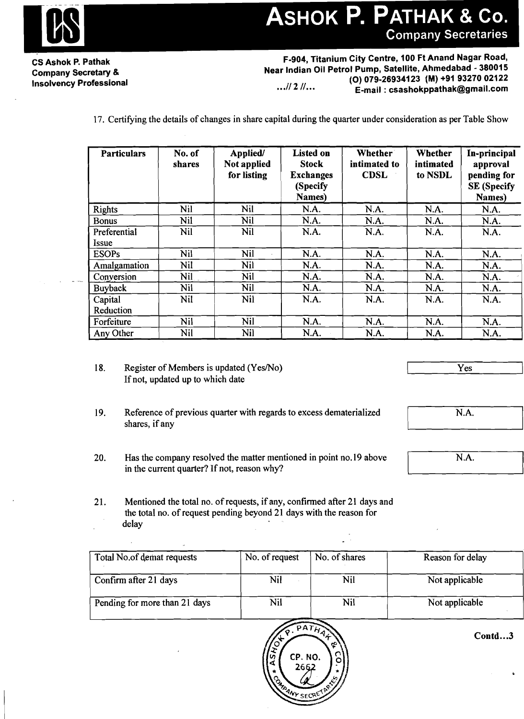## ASHOK P. PATHAK & Co. **Company Secretaries**

**CS Ashok P. Pathak Company Secretary** & **Insolvency Professional** 

**F-904, Titanium City Centre, 100 Ft Anand Nagar Road, Near Indian Oil Petrol Pump, Satellite, Ahmedabad** - **380015 (0) 079-26934123 (M) +91 93270 02122**  *...I* **<sup>2</sup>11.** .. **E-mail** : **csashokppathak@gmail.com** 

17. Certifying the details of changes in share capital during the quarter under consideration as per Table Show

| <b>Particulars</b>    | No. of<br>shares | Applied/<br>Not applied<br>for listing | <b>Listed on</b><br><b>Stock</b><br><b>Exchanges</b><br>(Specify<br>Names) | <b>Whether</b><br>intimated to<br><b>CDSL</b> | Whether<br>intimated<br>to NSDL | In-principal<br>approval<br>pending for<br><b>SE</b> (Specify<br>Names) |
|-----------------------|------------------|----------------------------------------|----------------------------------------------------------------------------|-----------------------------------------------|---------------------------------|-------------------------------------------------------------------------|
| <b>Rights</b>         | Nil              | Nil                                    | N.A.                                                                       | N.A.                                          | N.A.                            | N.A.                                                                    |
| <b>Bonus</b>          | Nil              | Nil                                    | N.A.                                                                       | N.A.                                          | N.A.                            | N.A.                                                                    |
| Preferential<br>Issue | Nil              | Nil                                    | N.A.                                                                       | N.A.                                          | N.A.                            | N.A.                                                                    |
| <b>ESOPs</b>          | Nil              | Nil                                    | N.A.                                                                       | N.A.                                          | N.A.                            | N.A.                                                                    |
| Amalgamation          | Nil              | Nil                                    | N.A.                                                                       | N.A.                                          | N.A.                            | N.A.                                                                    |
| Conversion            | Nil              | Nil                                    | N.A.                                                                       | N.A.                                          | N.A.                            | N.A.                                                                    |
| <b>Buyback</b>        | Nil              | Nil                                    | N.A.                                                                       | N.A.                                          | N.A.                            | N.A.                                                                    |
| Capital<br>Reduction  | Nil              | Nil                                    | N.A.                                                                       | N.A.                                          | N.A.                            | N.A.                                                                    |
| Forfeiture            | Nil              | Nil                                    | N.A.                                                                       | N.A.                                          | N.A.                            | N.A.                                                                    |
| Any Other             | Nil              | Nil                                    | N.A.                                                                       | N.A.                                          | N.A.                            | N.A.                                                                    |

- 18. Register of Members is updated (Yes/No) If not, updated up to which date
- 
- 19. Reference of previous quarter with regards to excess dematerialized shares, if any
- 20. Has the company resolved the matter mentioned in point no. 19 above in the current quarter? If not, reason why?

21. Mentioned the total no. of requests, if any, confirmed after 21 days and the total no. of request pending beyond 21 days with the reason for delay

| Total No.of demat requests    | No. of request | No. of shares | Reason for delay |
|-------------------------------|----------------|---------------|------------------|
| Confirm after 21 days         | Nil            | Nil           | Not applicable   |
| Pending for more than 21 days | Nil            | Nil           | Not applicable   |



 $Contd...3$ 

 $N.A.$ 

Yes

 $\overline{N.A.}$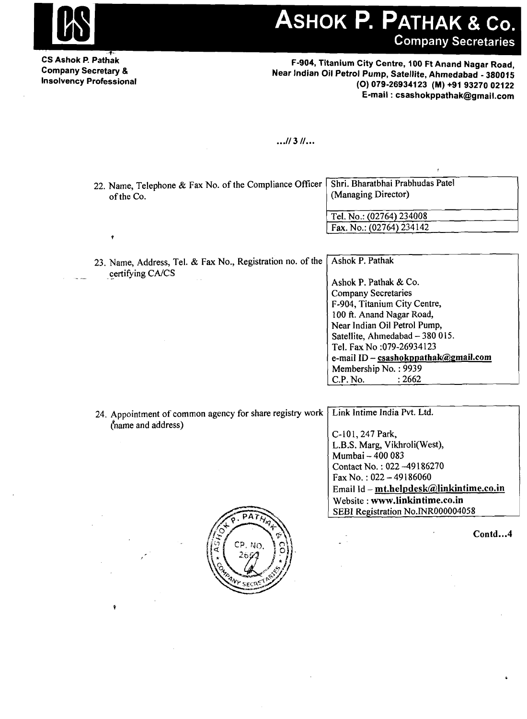

# ASHOK P. PATHAK & Co. **Company Secretaries**

**CS Ashok P. Pathak Company Secretary** & **Insolvency Professional** 

**F-904, Titanium City Centre, 100 Ft Anand Nagar Road, Near Indian Oil Petrol Pump, Satellite, Ahmedabad** - **380015 (0) 079-26934123 (M) +91 93270 02122 E-mail** : **csashokppathak@gmail.com** 

### $...||3||...$

| 22. Name, Telephone & Fax No. of the Compliance Officer,<br>of the Co. | Shri. Bharatbhai Prabhudas Patel<br>(Managing Director) |  |
|------------------------------------------------------------------------|---------------------------------------------------------|--|
|                                                                        | Tel. No.: (02764) 234008                                |  |
|                                                                        | Fax. No.: $(02764)$ 234142                              |  |

23. Name, Address, Tel. & Fax No., Registration no. of the certifying CA/CS Ashok P. Pathak

Ashok P. Pathak & Co. Company Secretaries F-904, Titanium City Centre, 100 **ft.** Anand Nagar Road, Near Indian Oil Petrol Pump, Satellite, Ahmedabad  $-380015$ . Tel. Fax No :079-26934 123 e-mail ID - csashokppathak@gmail.com Membership No. : 9939<br>C.P. No. : 2662  $C.P.$  No.

L.B.S. Marg, Vikhroli(West),

Contact No. : 022 -49 186270 Fax No.:  $022 - 49186060$ 

Website : **www.1inkintime.co.in**  SEBI Registration No.INR000004058

Email Id - mt.helpdesk@linkintime.co.in

Mumbai - 400 083

24. Appointment of common agency for share registry work (name and address) Link Intime India Pvt. Ltd. C-101, 247 Park,



Contd...4